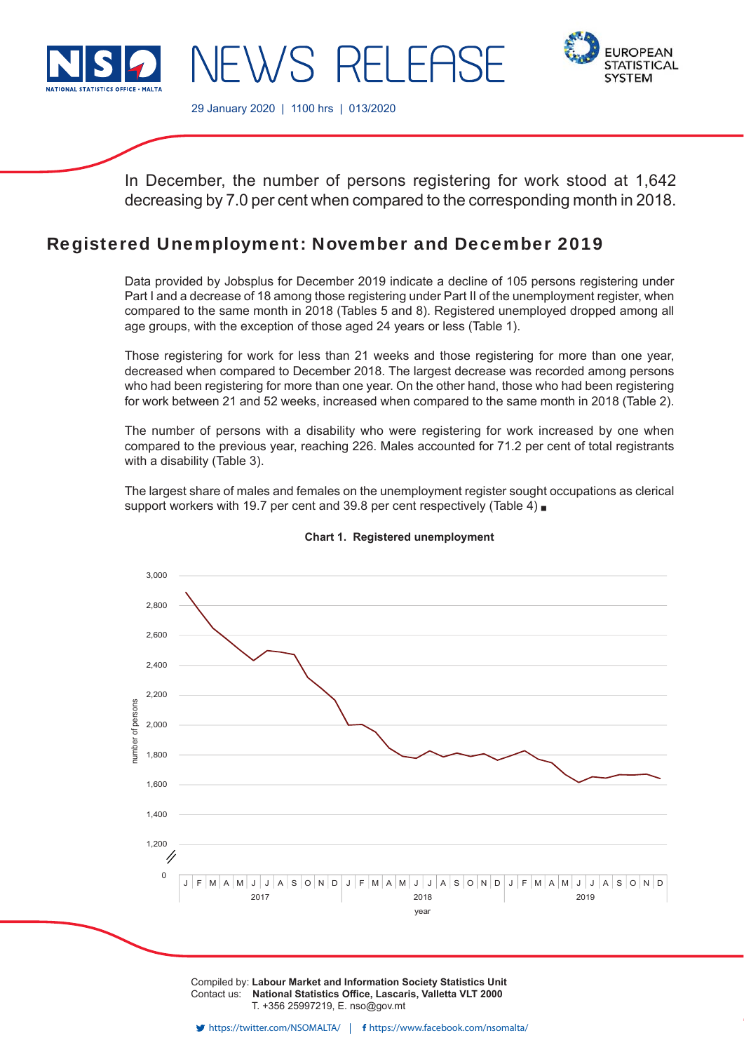

**EUROPEAN STATISTICAL SYSTEM** 

29 January 2020 | 1100 hrs | 013/2020

In December, the number of persons registering for work stood at 1,642 decreasing by 7.0 per cent when compared to the corresponding month in 2018.

# Registered Unemployment: November and December 2019

 $\lambda$ /S RFIFE

Data provided by Jobsplus for December 2019 indicate a decline of 105 persons registering under Part I and a decrease of 18 among those registering under Part II of the unemployment register, when compared to the same month in 2018 (Tables 5 and 8). Registered unemployed dropped among all age groups, with the exception of those aged 24 years or less (Table 1).

Those registering for work for less than 21 weeks and those registering for more than one year, decreased when compared to December 2018. The largest decrease was recorded among persons who had been registering for more than one year. On the other hand, those who had been registering for work between 21 and 52 weeks, increased when compared to the same month in 2018 (Table 2).

The number of persons with a disability who were registering for work increased by one when compared to the previous year, reaching 226. Males accounted for 71.2 per cent of total registrants with a disability (Table 3).

The largest share of males and females on the unemployment register sought occupations as clerical support workers with 19.7 per cent and 39.8 per cent respectively (Table 4)



#### **Chart 1. Registered unemployment**

Compiled by: **Labour Market and Information Society Statistics Unit** Contact us: National Statistics Office, Lascaris, Valletta VLT 2000 T. +356 25997219, E. nso@gov.mt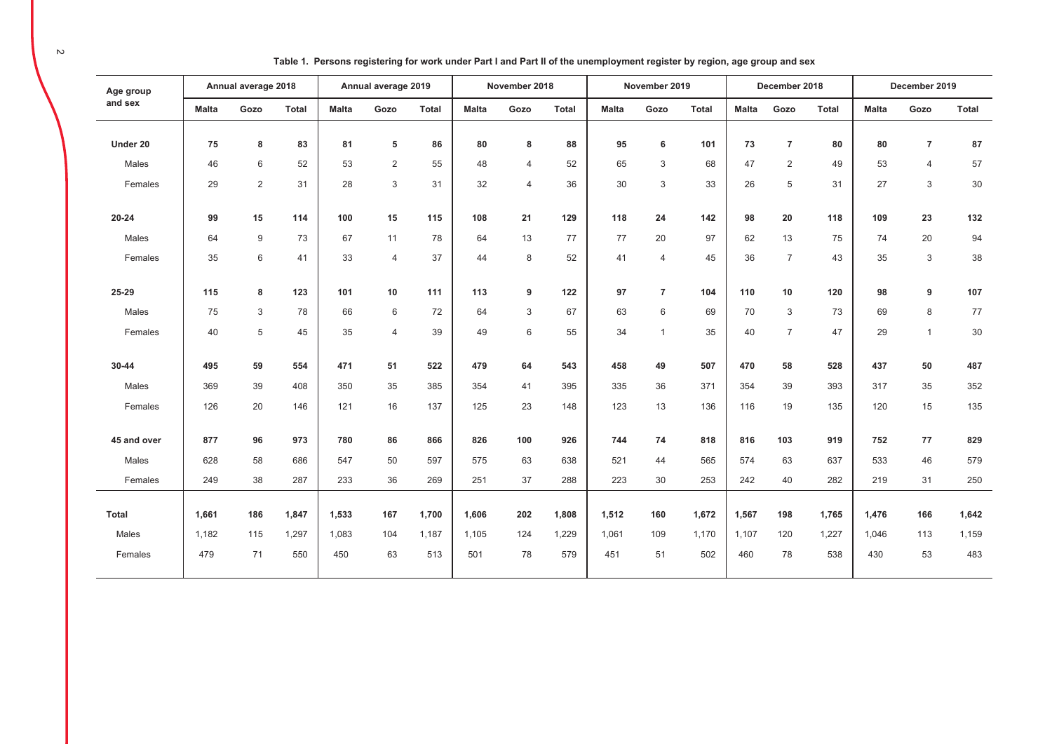| Age group    |              | Annual average 2018 |              |              | Annual average 2019 |              |              | November 2018  |              |              | November 2019  |              |              | December 2018  |              |              | December 2019  |              |
|--------------|--------------|---------------------|--------------|--------------|---------------------|--------------|--------------|----------------|--------------|--------------|----------------|--------------|--------------|----------------|--------------|--------------|----------------|--------------|
| and sex      | <b>Malta</b> | Gozo                | <b>Total</b> | <b>Malta</b> | Gozo                | <b>Total</b> | <b>Malta</b> | Gozo           | <b>Total</b> | <b>Malta</b> | Gozo           | <b>Total</b> | <b>Malta</b> | Gozo           | <b>Total</b> | <b>Malta</b> | Gozo           | <b>Total</b> |
| Under 20     | 75           | 8                   | 83           | 81           | 5                   | 86           | 80           | 8              | 88           | 95           | 6              | 101          | 73           | $\overline{7}$ | 80           | 80           | $\overline{7}$ | 87           |
| Males        | 46           | 6                   | 52           | 53           | 2                   | 55           | 48           | $\overline{4}$ | 52           | 65           | 3              | 68           | 47           | $\overline{2}$ | 49           | 53           | $\overline{4}$ | 57           |
| Females      | 29           | $\overline{2}$      | 31           | 28           | 3                   | 31           | 32           | $\overline{4}$ | 36           | 30           | $\mathbf{3}$   | 33           | 26           | 5              | 31           | 27           | 3              | $30\,$       |
| $20 - 24$    | 99           | 15                  | 114          | 100          | 15                  | 115          | 108          | 21             | 129          | 118          | 24             | 142          | 98           | 20             | 118          | 109          | 23             | 132          |
| Males        | 64           | 9                   | 73           | 67           | 11                  | 78           | 64           | 13             | 77           | 77           | 20             | 97           | 62           | 13             | 75           | 74           | 20             | 94           |
| Females      | 35           | 6                   | 41           | 33           | $\overline{4}$      | 37           | 44           | 8              | 52           | 41           | $\overline{4}$ | 45           | 36           | $\overline{7}$ | 43           | 35           | 3              | 38           |
| 25-29        | 115          | 8                   | 123          | 101          | 10                  | 111          | 113          | 9              | 122          | 97           | $\overline{7}$ | 104          | 110          | 10             | 120          | 98           | 9              | 107          |
| Males        | 75           | 3                   | 78           | 66           | 6                   | 72           | 64           | 3              | 67           | 63           | 6              | 69           | 70           | 3              | 73           | 69           | 8              | 77           |
| Females      | 40           | 5                   | 45           | 35           | $\overline{4}$      | 39           | 49           | $6\,$          | 55           | 34           | $\mathbf{1}$   | 35           | 40           | $\overline{7}$ | 47           | 29           | $\mathbf{1}$   | 30           |
| 30-44        | 495          | 59                  | 554          | 471          | 51                  | 522          | 479          | 64             | 543          | 458          | 49             | 507          | 470          | 58             | 528          | 437          | 50             | 487          |
| Males        | 369          | 39                  | 408          | 350          | 35                  | 385          | 354          | 41             | 395          | 335          | 36             | 371          | 354          | 39             | 393          | 317          | 35             | 352          |
| Females      | 126          | 20                  | 146          | 121          | 16                  | 137          | 125          | 23             | 148          | 123          | 13             | 136          | 116          | 19             | 135          | 120          | 15             | 135          |
| 45 and over  | 877          | 96                  | 973          | 780          | 86                  | 866          | 826          | 100            | 926          | 744          | 74             | 818          | 816          | 103            | 919          | 752          | 77             | 829          |
| Males        | 628          | 58                  | 686          | 547          | 50                  | 597          | 575          | 63             | 638          | 521          | 44             | 565          | 574          | 63             | 637          | 533          | 46             | 579          |
| Females      | 249          | 38                  | 287          | 233          | 36                  | 269          | 251          | 37             | 288          | 223          | 30             | 253          | 242          | 40             | 282          | 219          | 31             | 250          |
|              |              |                     |              |              |                     |              |              |                |              |              |                |              |              |                |              |              |                |              |
| <b>Total</b> | 1,661        | 186                 | 1,847        | 1,533        | 167                 | 1,700        | 1,606        | 202            | 1,808        | 1,512        | 160            | 1,672        | 1,567        | 198            | 1,765        | 1,476        | 166            | 1,642        |
| Males        | 1,182        | 115                 | 1,297        | 1,083        | 104                 | 1,187        | 1,105        | 124            | 1,229        | 1.061        | 109            | 1,170        | 1,107        | 120            | 1,227        | 1.046        | 113            | 1,159        |
| Females      | 479          | 71                  | 550          | 450          | 63                  | 513          | 501          | 78             | 579          | 451          | 51             | 502          | 460          | 78             | 538          | 430          | 53             | 483          |

Table 1. Persons registering for work under Part I and Part II of the unemployment register by region, age group and sex

 $\sim$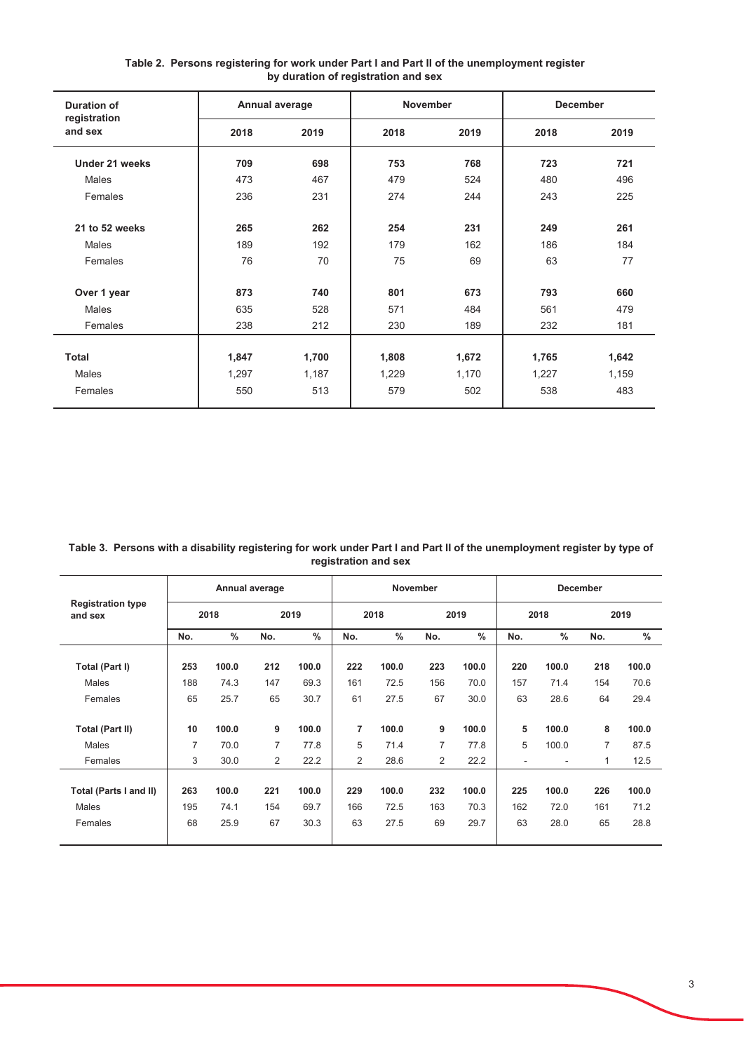| <b>Duration of</b>      | Annual average |       | <b>November</b> |       | <b>December</b> |       |
|-------------------------|----------------|-------|-----------------|-------|-----------------|-------|
| registration<br>and sex | 2018           | 2019  | 2018            | 2019  | 2018            | 2019  |
| Under 21 weeks          | 709            | 698   | 753             | 768   | 723             | 721   |
| <b>Males</b>            | 473            | 467   | 479             | 524   | 480             | 496   |
| Females                 | 236            | 231   | 274             | 244   | 243             | 225   |
| 21 to 52 weeks          | 265            | 262   | 254             | 231   | 249             | 261   |
| <b>Males</b>            | 189            | 192   | 179             | 162   | 186             | 184   |
| Females                 | 76             | 70    | 75              | 69    | 63              | 77    |
| Over 1 year             | 873            | 740   | 801             | 673   | 793             | 660   |
| <b>Males</b>            | 635            | 528   | 571             | 484   | 561             | 479   |
| Females                 | 238            | 212   | 230             | 189   | 232             | 181   |
|                         |                |       |                 |       |                 |       |
| <b>Total</b>            | 1,847          | 1,700 | 1,808           | 1,672 | 1,765           | 1,642 |
| Males                   | 1,297          | 1,187 | 1,229           | 1,170 | 1,227           | 1,159 |
| Females                 | 550            | 513   | 579             | 502   | 538             | 483   |

Table 2. Persons registering for work under Part I and Part II of the unemployment register<br>by duration of registration and sex

Table 3. Persons with a disability registering for work under Part I and Part II of the unemployment register by type of registration and sex

|                                     |     |               | Annual average |               |                |       | November       |               |                          |               | December       |               |
|-------------------------------------|-----|---------------|----------------|---------------|----------------|-------|----------------|---------------|--------------------------|---------------|----------------|---------------|
| <b>Registration type</b><br>and sex |     | 2018          |                | 2019          |                | 2018  |                | 2019          |                          | 2018          |                | 2019          |
|                                     | No. | $\frac{0}{0}$ | No.            | $\frac{0}{0}$ | No.            | $\%$  | No.            | $\frac{0}{0}$ | No.                      | $\frac{0}{0}$ | No.            | $\frac{0}{0}$ |
| Total (Part I)                      | 253 | 100.0         | 212            | 100.0         | 222            | 100.0 | 223            | 100.0         | 220                      | 100.0         | 218            | 100.0         |
| Males                               | 188 | 74.3          | 147            | 69.3          | 161            | 72.5  | 156            | 70.0          | 157                      | 71.4          | 154            | 70.6          |
| Females                             | 65  | 25.7          | 65             | 30.7          | 61             | 27.5  | 67             | 30.0          | 63                       | 28.6          | 64             | 29.4          |
| Total (Part II)                     | 10  | 100.0         | 9              | 100.0         | 7              | 100.0 | 9              | 100.0         | 5                        | 100.0         | 8              | 100.0         |
| Males                               | 7   | 70.0          | $\overline{7}$ | 77.8          | 5              | 71.4  | $\overline{7}$ | 77.8          | 5                        | 100.0         | $\overline{7}$ | 87.5          |
| Females                             | 3   | 30.0          | $\overline{2}$ | 22.2          | $\overline{2}$ | 28.6  | $\overline{2}$ | 22.2          | $\overline{\phantom{a}}$ | ٠             | 1              | 12.5          |
| Total (Parts I and II)              | 263 | 100.0         | 221            | 100.0         | 229            | 100.0 | 232            | 100.0         | 225                      | 100.0         | 226            | 100.0         |
| <b>Males</b>                        | 195 | 74.1          | 154            | 69.7          | 166            | 72.5  | 163            | 70.3          | 162                      | 72.0          | 161            | 71.2          |
| Females                             | 68  | 25.9          | 67             | 30.3          | 63             | 27.5  | 69             | 29.7          | 63                       | 28.0          | 65             | 28.8          |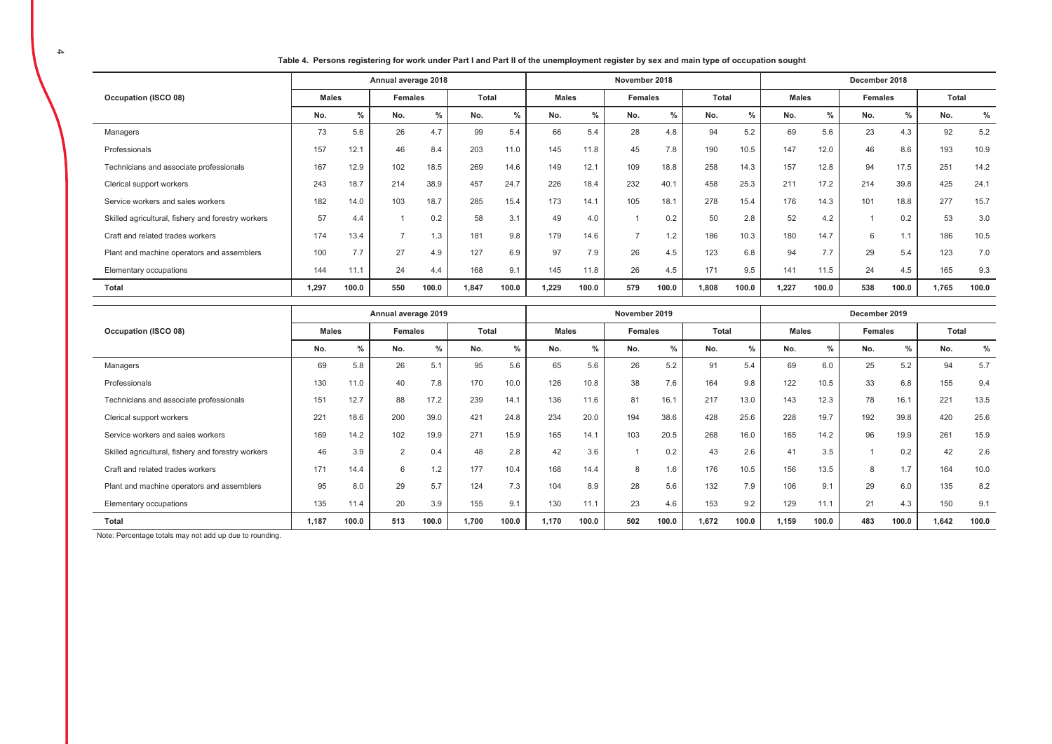Table 4. Persons registering for work under Part I and Part II of the unemployment register by sex and main type of occupation sought

|                                                    |              |       | Annual average 2018 |       |       |       |              |       | November 2018 |       |              |       |              |               | December 2018 |       |       |               |
|----------------------------------------------------|--------------|-------|---------------------|-------|-------|-------|--------------|-------|---------------|-------|--------------|-------|--------------|---------------|---------------|-------|-------|---------------|
| Occupation (ISCO 08)                               | <b>Males</b> |       | Females             |       | Total |       | <b>Males</b> |       | Females       |       | <b>Total</b> |       | <b>Males</b> |               | Females       |       | Total |               |
|                                                    | No.          | %     | No.                 | %     | No.   | $\%$  | No.          | %     | No.           | %     | No.          | %     | No.          | $\frac{0}{0}$ | No.           | $\%$  | No.   | $\frac{9}{6}$ |
| Managers                                           | 73           | 5.6   | 26                  | 4.7   | 99    | 5.4   | 66           | 5.4   | 28            | 4.8   | 94           | 5.2   | 69           | 5.6           | 23            | 4.3   | 92    | 5.2           |
| Professionals                                      | 157          | 12.1  | 46                  | 8.4   | 203   | 11.0  | 145          | 11.8  | 45            | 7.8   | 190          | 10.5  | 147          | 12.0          | 46            | 8.6   | 193   | 10.9          |
| Technicians and associate professionals            | 167          | 12.9  | 102                 | 18.5  | 269   | 14.6  | 149          | 12.1  | 109           | 18.8  | 258          | 14.3  | 157          | 12.8          | 94            | 17.5  | 251   | 14.2          |
| Clerical support workers                           | 243          | 18.7  | 214                 | 38.9  | 457   | 24.7  | 226          | 18.4  | 232           | 40.1  | 458          | 25.3  | 211          | 17.2          | 214           | 39.8  | 425   | 24.1          |
| Service workers and sales workers                  | 182          | 14.0  | 103                 | 18.7  | 285   | 15.4  | 173          | 14.1  | 105           | 18.1  | 278          | 15.4  | 176          | 14.3          | 101           | 18.8  | 277   | 15.7          |
| Skilled agricultural, fishery and forestry workers | 57           | 4.4   |                     | 0.2   | 58    | 3.1   | 49           | 4.0   |               | 0.2   | 50           | 2.8   | 52           | 4.2           |               | 0.2   | 53    | 3.0           |
| Craft and related trades workers                   | 174          | 13.4  |                     | 1.3   | 181   | 9.8   | 179          | 14.6  |               | 1.2   | 186          | 10.3  | 180          | 14.7          | 6             | 1.1   | 186   | 10.5          |
| Plant and machine operators and assemblers         | 100          | 7.7   | 27                  | 4.9   | 127   | 6.9   | 97           | 7.9   | 26            | 4.5   | 123          | 6.8   | 94           | 7.7           | 29            | 5.4   | 123   | 7.0           |
| Elementary occupations                             | 144          | 11.1  | 24                  | 4.4   | 168   | 9.1   | 145          | 11.8  | 26            | 4.5   | 171          | 9.5   | 141          | 11.5          | 24            | 4.5   | 165   | 9.3           |
| Total                                              | 1.297        | 100.0 | 550                 | 100.0 | 1,847 | 100.0 | 1.229        | 100.0 | 579           | 100.0 | 1,808        | 100.0 | 1,227        | 100.0         | 538           | 100.0 | 1,765 | 100.0         |

|                                                    |              |       | Annual average 2019 |               |       |       |              |       | November 2019 |       |       |               |              |       | December 2019 |               |       |       |
|----------------------------------------------------|--------------|-------|---------------------|---------------|-------|-------|--------------|-------|---------------|-------|-------|---------------|--------------|-------|---------------|---------------|-------|-------|
| Occupation (ISCO 08)                               | <b>Males</b> |       | <b>Females</b>      |               | Total |       | <b>Males</b> |       | Females       |       | Total |               | <b>Males</b> |       | Females       |               | Total |       |
|                                                    | No.          | $\%$  | No.                 | $\frac{0}{0}$ | No.   | $\%$  | No.          | $\%$  | No.           | %     | No.   | $\frac{0}{2}$ | No.          | $\%$  | No.           | $\frac{0}{0}$ | No.   | $\%$  |
| Managers                                           | 69           | 5.8   | 26                  | 5.1           | 95    | 5.6   | 65           | 5.6   | 26            | 5.2   | 91    | 5.4           | 69           | 6.0   | 25            | 5.2           | 94    | 5.7   |
| Professionals                                      | 130          | 11.0  | 40                  | 7.8           | 170   | 10.0  | 126          | 10.8  | 38            | 7.6   | 164   | 9.8           | 122          | 10.5  | 33            | 6.8           | 155   | 9.4   |
| Technicians and associate professionals            | 151          | 12.7  | 88                  | 17.2          | 239   | 14.1  | 136          | 11.6  | 81            | 16.1  | 217   | 13.0          | 143          | 12.3  | 78            | 16.1          | 221   | 13.5  |
| Clerical support workers                           | 221          | 18.6  | 200                 | 39.0          | 421   | 24.8  | 234          | 20.0  | 194           | 38.6  | 428   | 25.6          | 228          | 19.7  | 192           | 39.8          | 420   | 25.6  |
| Service workers and sales workers                  | 169          | 14.2  | 102                 | 19.9          | 271   | 15.9  | 165          | 14.1  | 103           | 20.5  | 268   | 16.0          | 165          | 14.2  | 96            | 19.9          | 261   | 15.9  |
| Skilled agricultural, fishery and forestry workers | 46           | 3.9   | 2                   | 0.4           | 48    | 2.8   | 42           | 3.6   |               | 0.2   | 43    | 2.6           | 41           | 3.5   |               | 0.2           | 42    | 2.6   |
| Craft and related trades workers                   | 171          | 14.4  | 6                   | 1.2           | 177   | 10.4  | 168          | 14.4  | 8             | 1.6   | 176   | 10.5          | 156          | 13.5  | 8             | 1.7           | 164   | 10.0  |
| Plant and machine operators and assemblers         | 95           | 8.0   | 29                  | 5.7           | 124   | 7.3   | 104          | 8.9   | 28            | 5.6   | 132   | 7.9           | 106          | 9.1   | 29            | 6.0           | 135   | 8.2   |
| Elementary occupations                             | 135          | 11.4  | 20                  | 3.9           | 155   | 9.1   | 130          | 11.1  | 23            | 4.6   | 153   | 9.2           | 129          | 11.1  | 21            | 4.3           | 150   | 9.1   |
| Total                                              | 1,187        | 100.0 | 513                 | 100.0         | 1,700 | 100.0 | 1.170        | 100.0 | 502           | 100.0 | 1.672 | 100.0         | 1.159        | 100.0 | 483           | 100.0         | 1,642 | 100.0 |

Note: Percentage totals may not add up due to rounding.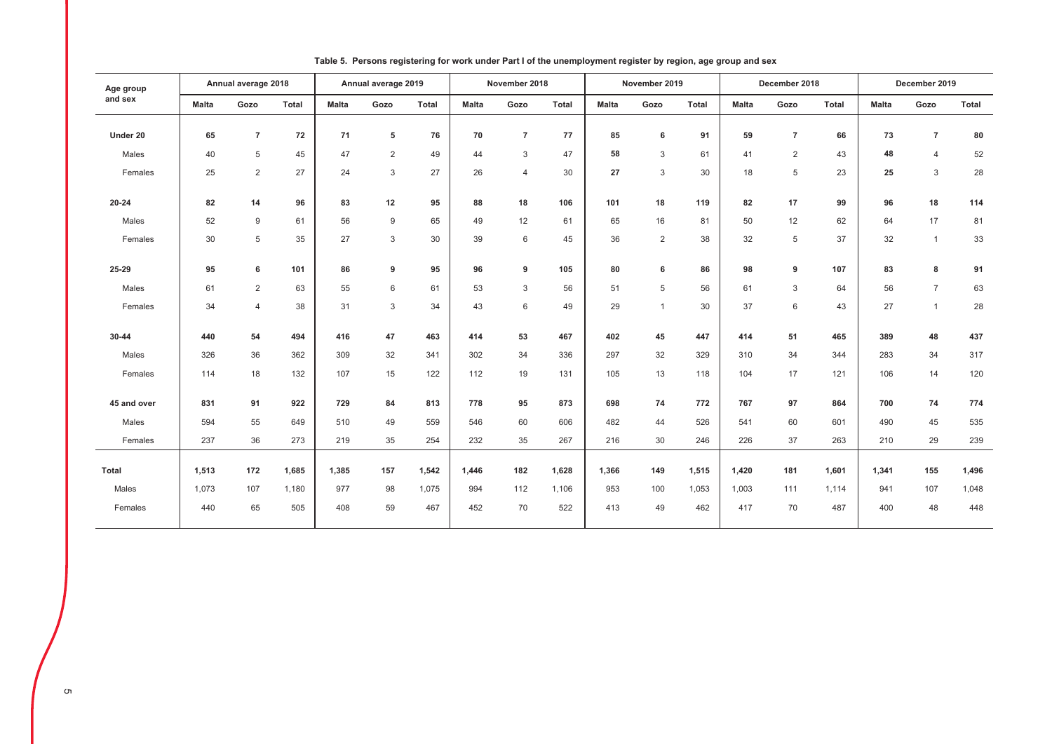| Age group    |              | Annual average 2018 |       |              | Annual average 2019 |       |              | November 2018  |              |              | November 2019  |       |              | December 2018  |       |              | December 2019  |       |
|--------------|--------------|---------------------|-------|--------------|---------------------|-------|--------------|----------------|--------------|--------------|----------------|-------|--------------|----------------|-------|--------------|----------------|-------|
| and sex      | <b>Malta</b> | Gozo                | Total | <b>Malta</b> | Gozo                | Total | <b>Malta</b> | Gozo           | <b>Total</b> | <b>Malta</b> | Gozo           | Total | <b>Malta</b> | Gozo           | Total | <b>Malta</b> | Gozo           | Total |
| Under 20     | 65           | $\overline{7}$      | 72    | 71           | 5                   | 76    | 70           | $\overline{7}$ | 77           | 85           | 6              | 91    | 59           | $\overline{7}$ | 66    | 73           | $\overline{7}$ | 80    |
| Males        | 40           | 5                   | 45    | 47           | $\overline{2}$      | 49    | 44           | 3              | 47           | 58           | 3              | 61    | 41           | $\overline{2}$ | 43    | 48           | $\overline{4}$ | 52    |
| Females      | 25           | 2                   | 27    | 24           | 3                   | 27    | 26           | $\overline{4}$ | 30           | 27           | 3              | 30    | 18           | 5              | 23    | 25           | 3              | 28    |
|              |              |                     |       |              |                     |       |              |                |              |              |                |       |              |                |       |              |                |       |
| $20 - 24$    | 82           | 14                  | 96    | 83           | 12                  | 95    | 88           | 18             | 106          | 101          | 18             | 119   | 82           | 17             | 99    | 96           | 18             | 114   |
| Males        | 52           | 9                   | 61    | 56           | 9                   | 65    | 49           | 12             | 61           | 65           | 16             | 81    | 50           | 12             | 62    | 64           | 17             | 81    |
| Females      | 30           | 5                   | 35    | 27           | 3                   | 30    | 39           | 6              | 45           | 36           | 2              | 38    | 32           | 5              | 37    | 32           | $\mathbf{1}$   | 33    |
| 25-29        | 95           | 6                   | 101   | 86           | 9                   | 95    | 96           | 9              | 105          | 80           | 6              | 86    | 98           | 9              | 107   | 83           | 8              | 91    |
|              |              |                     |       |              |                     |       |              |                |              |              |                |       |              |                |       |              |                |       |
| Males        | 61           | 2                   | 63    | 55           | 6                   | 61    | 53           | 3              | 56           | 51           | $\overline{5}$ | 56    | 61           | 3              | 64    | 56           | $\overline{7}$ | 63    |
| Females      | 34           | $\overline{4}$      | 38    | 31           | 3                   | 34    | 43           | 6              | 49           | 29           | $\mathbf{1}$   | 30    | 37           | 6              | 43    | 27           | $\mathbf{1}$   | 28    |
| 30-44        | 440          | 54                  | 494   | 416          | 47                  | 463   | 414          | 53             | 467          | 402          | 45             | 447   | 414          | 51             | 465   | 389          | 48             | 437   |
| Males        | 326          | 36                  | 362   | 309          | 32                  | 341   | 302          | 34             | 336          | 297          | 32             | 329   | 310          | 34             | 344   | 283          | 34             | 317   |
| Females      | 114          | 18                  | 132   | 107          | 15                  | 122   | 112          | 19             | 131          | 105          | 13             | 118   | 104          | 17             | 121   | 106          | 14             | 120   |
|              |              |                     |       |              |                     |       |              |                |              |              |                |       |              |                |       |              |                |       |
| 45 and over  | 831          | 91                  | 922   | 729          | 84                  | 813   | 778          | 95             | 873          | 698          | 74             | 772   | 767          | 97             | 864   | 700          | 74             | 774   |
| Males        | 594          | 55                  | 649   | 510          | 49                  | 559   | 546          | 60             | 606          | 482          | 44             | 526   | 541          | 60             | 601   | 490          | 45             | 535   |
| Females      | 237          | 36                  | 273   | 219          | 35                  | 254   | 232          | 35             | 267          | 216          | 30             | 246   | 226          | 37             | 263   | 210          | 29             | 239   |
| <b>Total</b> | 1,513        | 172                 | 1,685 | 1,385        | 157                 | 1,542 | 1,446        | 182            | 1,628        | 1,366        | 149            | 1,515 | 1,420        | 181            | 1,601 | 1,341        | 155            | 1,496 |
| Males        | 1,073        | 107                 | 1,180 | 977          | 98                  | 1,075 | 994          | 112            | 1,106        | 953          | 100            | 1,053 | 1,003        | 111            | 1,114 | 941          | 107            | 1,048 |
| Females      | 440          | 65                  | 505   | 408          | 59                  | 467   | 452          | 70             | 522          | 413          | 49             | 462   | 417          | 70             | 487   | 400          | 48             | 448   |
|              |              |                     |       |              |                     |       |              |                |              |              |                |       |              |                |       |              |                |       |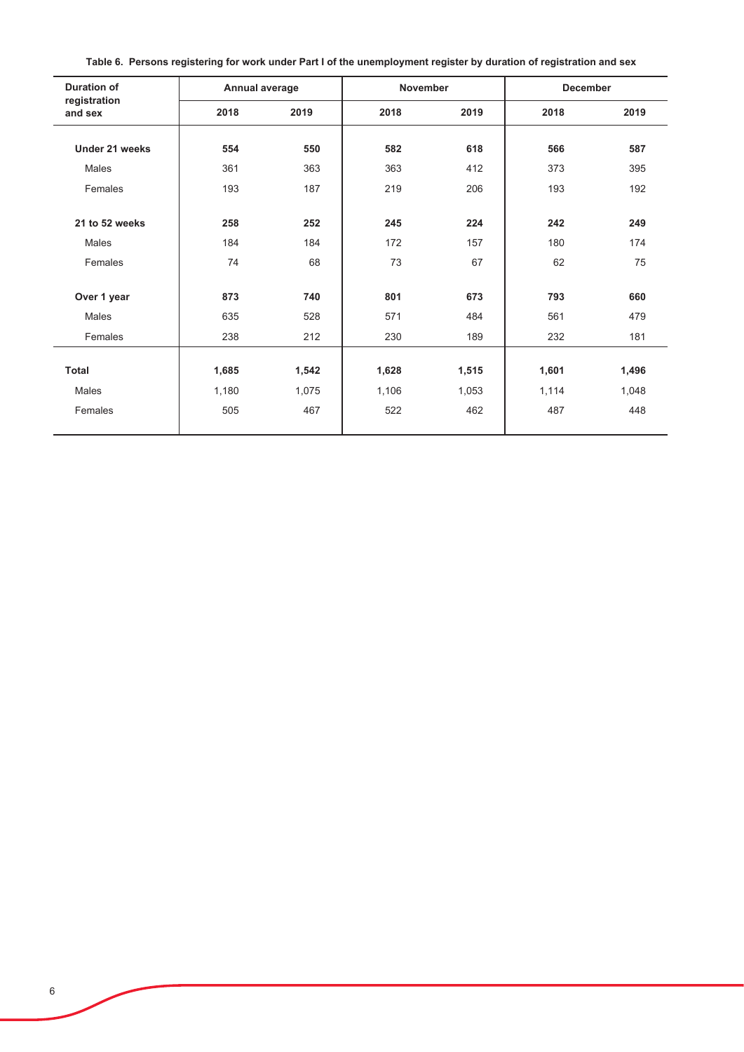| <b>Duration of</b>      | Annual average |       | <b>November</b> |       | <b>December</b> |       |
|-------------------------|----------------|-------|-----------------|-------|-----------------|-------|
| registration<br>and sex | 2018           | 2019  | 2018            | 2019  | 2018            | 2019  |
|                         |                |       |                 |       |                 |       |
| Under 21 weeks          | 554            | 550   | 582             | 618   | 566             | 587   |
| Males                   | 361            | 363   | 363             | 412   | 373             | 395   |
| Females                 | 193            | 187   | 219             | 206   | 193             | 192   |
| 21 to 52 weeks          | 258            | 252   | 245             | 224   | 242             | 249   |
|                         |                |       |                 |       |                 |       |
| Males                   | 184            | 184   | 172             | 157   | 180             | 174   |
| Females                 | 74             | 68    | 73              | 67    | 62              | 75    |
| Over 1 year             | 873            | 740   | 801             | 673   | 793             | 660   |
| Males                   | 635            | 528   | 571             | 484   | 561             | 479   |
| Females                 | 238            | 212   | 230             | 189   | 232             | 181   |
|                         |                |       |                 |       |                 |       |
| <b>Total</b>            | 1,685          | 1,542 | 1,628           | 1,515 | 1,601           | 1,496 |
| Males                   | 1,180          | 1,075 | 1,106           | 1,053 | 1,114           | 1,048 |
| Females                 | 505            | 467   | 522             | 462   | 487             | 448   |
|                         |                |       |                 |       |                 |       |

Table 6. Persons registering for work under Part I of the unemployment register by duration of registration and sex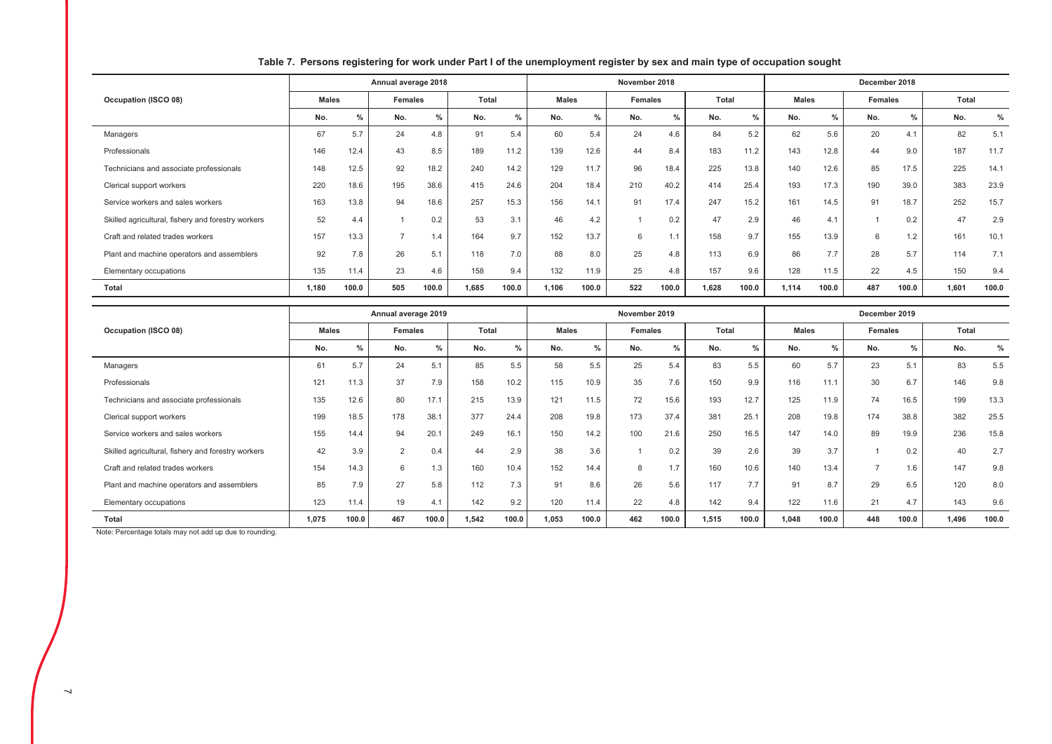|                                                    |              |               | Annual average 2018 |       |       |               |              |               | November 2018 |       |       |       |              |               | December 2018 |               |       |       |
|----------------------------------------------------|--------------|---------------|---------------------|-------|-------|---------------|--------------|---------------|---------------|-------|-------|-------|--------------|---------------|---------------|---------------|-------|-------|
| Occupation (ISCO 08)                               | <b>Males</b> |               | Females             |       | Total |               | <b>Males</b> |               | Females       |       | Total |       | <b>Males</b> |               | Females       |               | Total |       |
|                                                    | No.          | $\frac{0}{2}$ | No.                 | $\%$  | No.   | $\frac{0}{2}$ | No.          | $\frac{0}{2}$ | No.           | $\%$  | No.   | $\%$  | No.          | $\frac{0}{0}$ | No.           | $\frac{0}{0}$ | No.   | $\%$  |
| Managers                                           | 67           | 5.7           | 24                  | 4.8   | 91    | 5.4           | 60           | 5.4           | 24            | 4.6   | 84    | 5.2   | 62           | 5.6           | 20            | 4.1           | 82    | 5.1   |
| Professionals                                      | 146          | 12.4          | 43                  | 8.5   | 189   | 11.2          | 139          | 12.6          | 44            | 8.4   | 183   | 11.2  | 143          | 12.8          | 44            | 9.0           | 187   | 11.7  |
| Technicians and associate professionals            | 148          | 12.5          | 92                  | 18.2  | 240   | 14.2          | 129          | 11.7          | 96            | 18.4  | 225   | 13.8  | 140          | 12.6          | 85            | 17.5          | 225   | 14.1  |
| Clerical support workers                           | 220          | 18.6          | 195                 | 38.6  | 415   | 24.6          | 204          | 18.4          | 210           | 40.2  | 414   | 25.4  | 193          | 17.3          | 190           | 39.0          | 383   | 23.9  |
| Service workers and sales workers                  | 163          | 13.8          | 94                  | 18.6  | 257   | 15.3          | 156          | 14.1          | 91            | 17.4  | 247   | 15.2  | 161          | 14.5          | 91            | 18.7          | 252   | 15.7  |
| Skilled agricultural, fishery and forestry workers | 52           | 4.4           |                     | 0.2   | 53    | 3.1           | 46           | 4.2           |               | 0.2   | 47    | 2.9   | 46           | 4.1           |               | 0.2           | 47    | 2.9   |
| Craft and related trades workers                   | 157          | 13.3          | -                   | 1.4   | 164   | 9.7           | 152          | 13.7          | 6             | 1.1   | 158   | 9.7   | 155          | 13.9          | 6             | 1.2           | 161   | 10.1  |
| Plant and machine operators and assemblers         | 92           | 7.8           | 26                  | 5.1   | 118   | 7.0           | 88           | 8.0           | 25            | 4.8   | 113   | 6.9   | 86           | 7.7           | 28            | 5.7           | 114   | 7.1   |
| Elementary occupations                             | 135          | 11.4          | 23                  | 4.6   | 158   | 9.4           | 132          | 11.9          | 25            | 4.8   | 157   | 9.6   | 128          | 11.5          | 22            | 4.5           | 150   | 9.4   |
| Total                                              | 1,180        | 100.0         | 505                 | 100.0 | 1,685 | 100.0         | 1,106        | 100.0         | 522           | 100.0 | 1,628 | 100.0 | 1,114        | 100.0         | 487           | 100.0         | 1,601 | 100.0 |

## Table 7. Persons registering for work under Part I of the unemployment register by sex and main type of occupation sought

|                                                    |              |               | Annual average 2019 |               |       |       |              |       | November 2019  |       |       |       |              |       | December 2019 |               |       |       |
|----------------------------------------------------|--------------|---------------|---------------------|---------------|-------|-------|--------------|-------|----------------|-------|-------|-------|--------------|-------|---------------|---------------|-------|-------|
| Occupation (ISCO 08)                               | <b>Males</b> |               | <b>Females</b>      |               | Total |       | <b>Males</b> |       | <b>Females</b> |       | Total |       | <b>Males</b> |       | Females       |               | Total |       |
|                                                    | No.          | $\frac{0}{0}$ | No.                 | $\frac{0}{0}$ | No.   | $\%$  | No.          | 0/    | No.            | $\%$  | No.   | $\%$  | No.          | $\%$  | No.           | $\frac{0}{0}$ | No.   | %     |
| Managers                                           | 61           | 5.7           | 24                  | 5.1           | 85    | 5.5   | 58           | 5.5   | 25             | 5.4   | 83    | 5.5   | 60           | 5.7   | 23            | 5.1           | 83    | 5.5   |
| Professionals                                      | 121          | 11.3          | 37                  | 7.9           | 158   | 10.2  | 115          | 10.9  | 35             | 7.6   | 150   | 9.9   | 116          | 11.1  | 30            | 6.7           | 146   | 9.8   |
| Technicians and associate professionals            | 135          | 12.6          | 80                  | 17.1          | 215   | 13.9  | 121          | 11.5  | 72             | 15.6  | 193   | 12.7  | 125          | 11.9  | 74            | 16.5          | 199   | 13.3  |
| Clerical support workers                           | 199          | 18.5          | 178                 | 38.1          | 377   | 24.4  | 208          | 19.8  | 173            | 37.4  | 381   | 25.1  | 208          | 19.8  | 174           | 38.8          | 382   | 25.5  |
| Service workers and sales workers                  | 155          | 14.4          | 94                  | 20.1          | 249   | 16.1  | 150          | 14.2  | 100            | 21.6  | 250   | 16.5  | 147          | 14.0  | 89            | 19.9          | 236   | 15.8  |
| Skilled agricultural, fishery and forestry workers | 42           | 3.9           | $\sim$              | 0.4           | 44    | 2.9   | 38           | 3.6   |                | 0.2   | 39    | 2.6   | 39           | 3.7   |               | 0.2           | 40    | 2.7   |
| Craft and related trades workers                   | 154          | 14.3          | 6                   | 1.3           | 160   | 10.4  | 152          | 14.4  | 8              | 1.7   | 160   | 10.6  | 140          | 13.4  |               | 1.6           | 147   | 9.8   |
| Plant and machine operators and assemblers         | 85           | 7.9           | 27                  | 5.8           | 112   | 7.3   | 91           | 8.6   | 26             | 5.6   | 117   | 7.7   | 91           | 8.7   | 29            | 6.5           | 120   | 8.0   |
| Elementary occupations                             | 123          | 11.4          | 19                  | 4.1           | 142   | 9.2   | 120          | 11.4  | 22             | 4.8   | 142   | 9.4   | 122          | 11.6  | 21            | 4.7           | 143   | 9.6   |
| <b>Total</b>                                       | 1.075        | 100.0         | 467                 | 100.0         | 1.542 | 100.0 | 1,053        | 100.0 | 462            | 100.0 | 1,515 | 100.0 | 1.048        | 100.0 | 448           | 100.0         | 1,496 | 100.0 |

Note: Percentage totals may not add up due to rounding.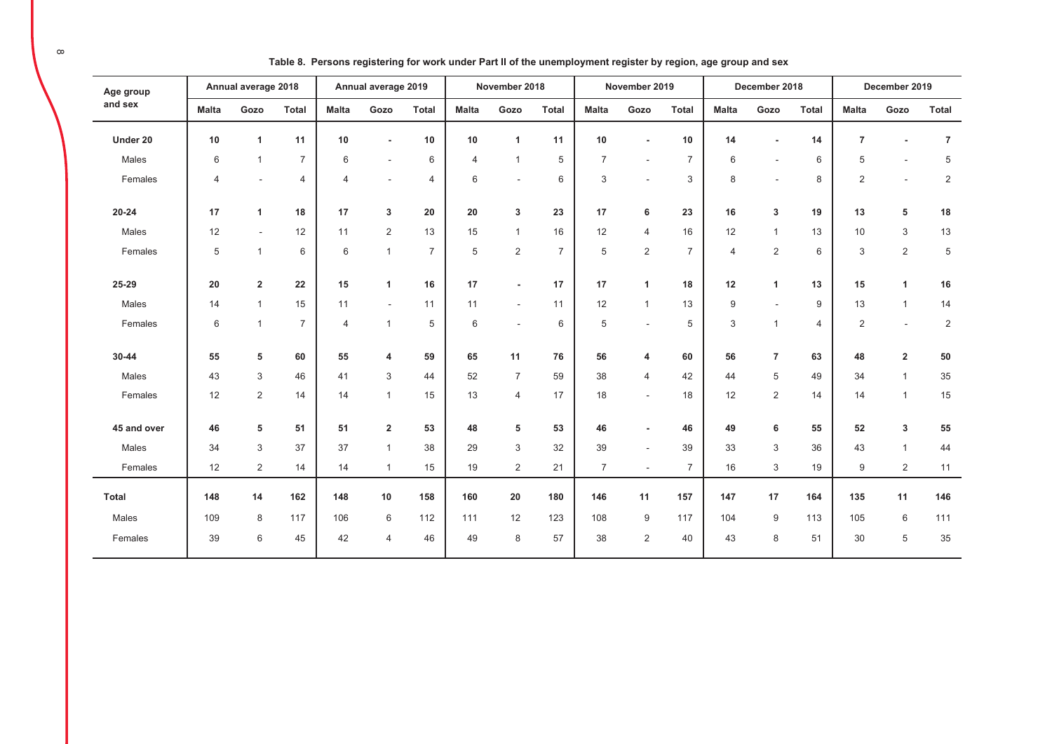| Age group    |              | Annual average 2018     |                |                | Annual average 2019      |                |                | November 2018            |                |                | November 2019            |                |                | December 2018  |                |                | December 2019            |                |
|--------------|--------------|-------------------------|----------------|----------------|--------------------------|----------------|----------------|--------------------------|----------------|----------------|--------------------------|----------------|----------------|----------------|----------------|----------------|--------------------------|----------------|
| and sex      | <b>Malta</b> | Gozo                    | <b>Total</b>   | <b>Malta</b>   | Gozo                     | <b>Total</b>   | <b>Malta</b>   | Gozo                     | <b>Total</b>   | <b>Malta</b>   | Gozo                     | <b>Total</b>   | <b>Malta</b>   | Gozo           | <b>Total</b>   | <b>Malta</b>   | Gozo                     | <b>Total</b>   |
| Under 20     | 10           | $\mathbf{1}$            | 11             | 10             |                          | 10             | 10             | $\overline{1}$           | 11             | 10             | $\blacksquare$           | 10             | 14             |                | 14             | $\overline{7}$ |                          | $\overline{7}$ |
| Males        | 6            | $\mathbf{1}$            | $\overline{7}$ | 6              | $\sim$                   | 6              | $\overline{4}$ | $\overline{1}$           | 5              | $\overline{7}$ | $\overline{\phantom{a}}$ | $\overline{7}$ | 6              |                | 6              | 5              |                          | $\,$ 5 $\,$    |
| Females      | 4            | $\sim$                  | 4              | 4              | $\overline{\phantom{a}}$ | $\overline{4}$ | 6              | $\overline{\phantom{a}}$ | 6              | 3              | $\sim$                   | 3              | 8              | ä,             | 8              | $\overline{2}$ | $\sim$                   | $\sqrt{2}$     |
| $20 - 24$    | 17           | $\mathbf{1}$            | 18             | 17             | $\mathbf{3}$             | 20             | 20             | 3                        | 23             | 17             | 6                        | 23             | 16             | 3              | 19             | 13             | 5                        | 18             |
| Males        | 12           | $\blacksquare$          | 12             | 11             | 2                        | 13             | 15             | $\overline{1}$           | 16             | 12             | $\overline{4}$           | 16             | 12             | $\mathbf{1}$   | 13             | 10             | 3                        | 13             |
| Females      | 5            | $\mathbf{1}$            | 6              | 6              | $\mathbf{1}$             | $\overline{7}$ | 5              | $\overline{2}$           | $\overline{7}$ | 5              | $\overline{2}$           | $\overline{7}$ | $\overline{4}$ | $\overline{2}$ | 6              | 3              | $\overline{2}$           | $\,$ 5 $\,$    |
| 25-29        | 20           | $\overline{\mathbf{2}}$ | 22             | 15             | 1                        | 16             | 17             |                          | 17             | 17             | 1                        | 18             | 12             | 1              | 13             | 15             | $\mathbf{1}$             | 16             |
| Males        | 14           | $\mathbf{1}$            | 15             | 11             | $\overline{\phantom{a}}$ | 11             | 11             |                          | 11             | 12             | $\mathbf{1}$             | 13             | 9              | $\overline{a}$ | 9              | 13             | $\mathbf{1}$             | 14             |
| Females      | $\,6$        | $\mathbf{1}$            | $\overline{7}$ | $\overline{4}$ | $\mathbf{1}$             | 5              | 6              |                          | $6\,$          | 5              | $\sim$                   | 5              | 3              | $\mathbf{1}$   | $\overline{4}$ | $\overline{2}$ | $\overline{\phantom{a}}$ | 2              |
| 30-44        | 55           | 5                       | 60             | 55             | $\overline{4}$           | 59             | 65             | 11                       | 76             | 56             | 4                        | 60             | 56             | $\overline{7}$ | 63             | 48             | $\overline{2}$           | 50             |
| Males        | 43           | 3                       | 46             | 41             | $\mathbf{3}$             | 44             | 52             | $\overline{7}$           | 59             | 38             | $\overline{4}$           | 42             | 44             | 5              | 49             | 34             | $\mathbf{1}$             | $35\,$         |
| Females      | 12           | $\overline{2}$          | 14             | 14             | $\mathbf{1}$             | 15             | 13             | $\overline{4}$           | 17             | 18             | $\sim$                   | 18             | 12             | 2              | 14             | 14             | $\mathbf{1}$             | 15             |
| 45 and over  | 46           | 5                       | 51             | 51             | $\overline{\mathbf{2}}$  | 53             | 48             | 5                        | 53             | 46             | $\blacksquare$           | 46             | 49             | 6              | 55             | 52             | 3                        | 55             |
| Males        | 34           | 3                       | 37             | 37             | $\mathbf{1}$             | 38             | 29             | 3                        | 32             | 39             | $\sim$                   | 39             | 33             | 3              | 36             | 43             | $\mathbf{1}$             | 44             |
| Females      | 12           | $\overline{2}$          | 14             | 14             | $\mathbf{1}$             | 15             | 19             | $\overline{2}$           | 21             | $\overline{7}$ | $\sim$                   | $\overline{7}$ | 16             | 3              | 19             | 9              | $\overline{c}$           | 11             |
| <b>Total</b> | 148          | 14                      | 162            | 148            | 10                       | 158            | 160            | ${\bf 20}$               | 180            | 146            | 11                       | 157            | 147            | 17             | 164            | 135            | 11                       | 146            |
| Males        | 109          | 8                       | 117            | 106            | $\,6$                    | 112            | 111            | 12                       | 123            | 108            | 9                        | 117            | 104            | 9              | 113            | 105            | 6                        | 111            |
| Females      | 39           | 6                       | 45             | 42             | $\overline{4}$           | 46             | 49             | 8                        | 57             | 38             | 2                        | 40             | 43             | 8              | 51             | 30             | 5                        | 35             |

Table 8. Persons registering for work under Part II of the unemployment register by region, age group and sex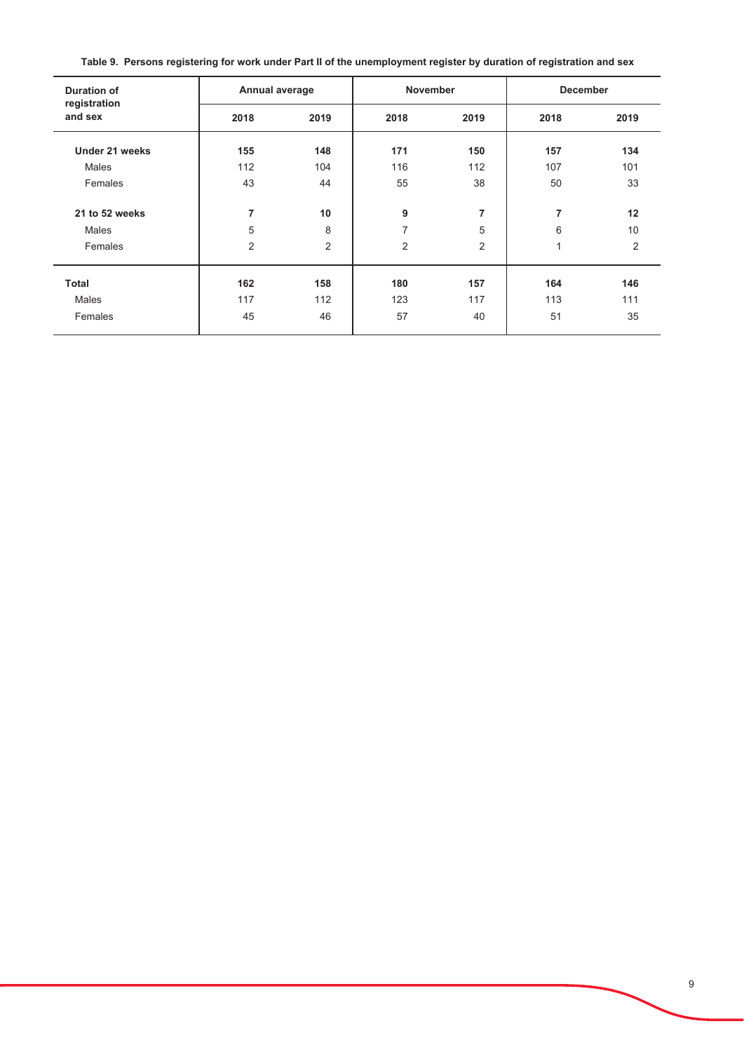Table 9. Persons registering for work under Part II of the unemployment register by duration of registration and sex

| Duration of<br>registration | Annual average |                | <b>November</b> |                | <b>December</b> |                |
|-----------------------------|----------------|----------------|-----------------|----------------|-----------------|----------------|
| and sex                     | 2018           | 2019           | 2018            | 2019           | 2018            | 2019           |
| Under 21 weeks              | 155            | 148            | 171             | 150            | 157             | 134            |
| Males                       | 112            | 104            | 116             | 112            | 107             | 101            |
| Females                     | 43             | 44             | 55              | 38             | 50              | 33             |
| 21 to 52 weeks              | $\overline{7}$ | 10             | 9               | $\overline{7}$ | 7               | 12             |
| Males                       | 5              | 8              | 7               | 5              | 6               | 10             |
| Females                     | $\overline{2}$ | $\overline{2}$ | 2               | $\overline{2}$ | 1               | $\overline{2}$ |
| <b>Total</b>                | 162            | 158            | 180             | 157            | 164             | 146            |
| Males                       | 117            | 112            | 123             | 117            | 113             | 111            |
| Females                     | 45             | 46             | 57              | 40             | 51              | 35             |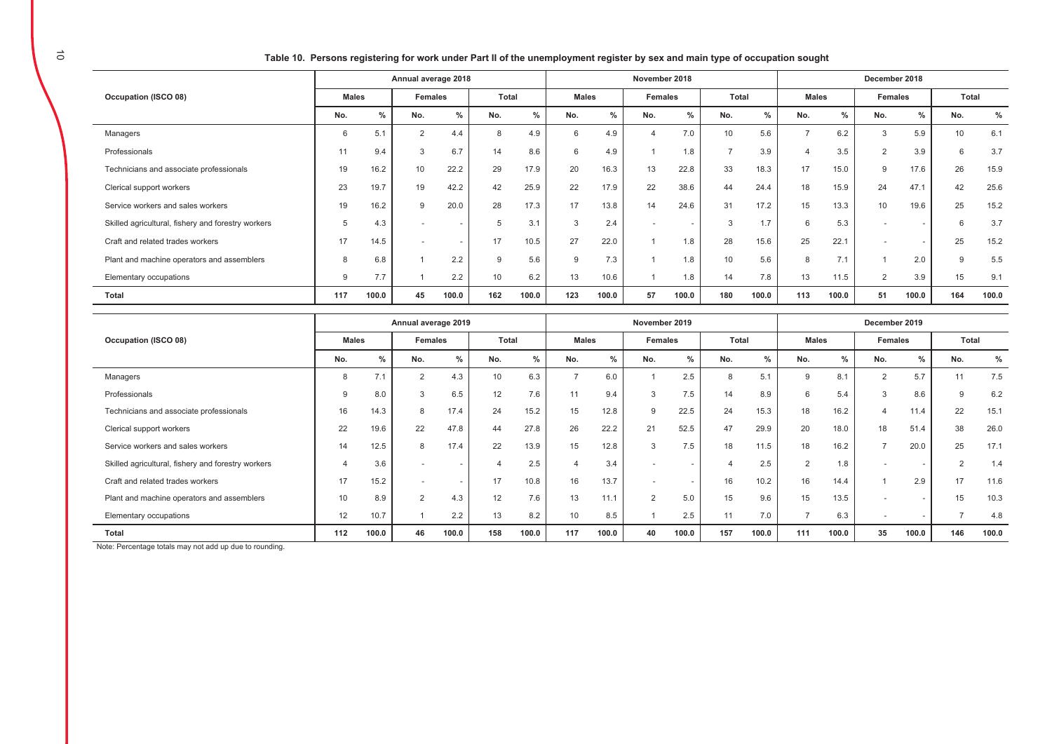Table 10. Persons registering for work under Part II of the unemployment register by sex and main type of occupation sought

|                                                    | Annual average 2018 |       |                          |               | November 2018 |       |               |               |         | December 2018 |               |       |                |               |         |        |       |       |
|----------------------------------------------------|---------------------|-------|--------------------------|---------------|---------------|-------|---------------|---------------|---------|---------------|---------------|-------|----------------|---------------|---------|--------|-------|-------|
| Occupation (ISCO 08)                               | <b>Males</b>        |       | Females                  |               | Total         |       | <b>Males</b>  |               | Females |               | Total         |       | <b>Males</b>   |               | Females |        | Total |       |
|                                                    | No.                 | $\%$  | No.                      | $\frac{0}{2}$ | No.           | $\%$  | No.           | $\frac{0}{0}$ | No.     | $\frac{0}{2}$ | No.           | $\%$  | No.            | $\frac{0}{0}$ | No.     | $\%$   | No.   | $\%$  |
| Managers                                           | 6                   | 5.1   | $\overline{2}$           | 4.4           | 8             | 4.9   | 6             | 4.9           | 4       | 7.0           | 10            | 5.6   | -              | 6.2           | 3       | 5.9    | 10    | 6.1   |
| Professionals                                      | 11                  | 9.4   | 3                        | 6.7           | 14            | 8.6   | 6             | 4.9           |         | 1.8           | $\rightarrow$ | 3.9   | $\overline{4}$ | 3.5           | 2       | 3.9    | 6     | 3.7   |
| Technicians and associate professionals            | 19                  | 16.2  | 10                       | 22.2          | 29            | 17.9  | 20            | 16.3          | 13      | 22.8          | 33            | 18.3  | 17             | 15.0          | 9       | 17.6   | 26    | 15.9  |
| Clerical support workers                           | 23                  | 19.7  | 19                       | 42.2          | 42            | 25.9  | 22            | 17.9          | 22      | 38.6          | 44            | 24.4  | 18             | 15.9          | 24      | 47.1   | 42    | 25.6  |
| Service workers and sales workers                  | 19                  | 16.2  | 9                        | 20.0          | 28            | 17.3  | 17            | 13.8          | 14      | 24.6          | 31            | 17.2  | 15             | 13.3          | 10      | 19.6   | 25    | 15.2  |
| Skilled agricultural, fishery and forestry workers | 5                   | 4.3   |                          |               | 5             | 3.1   | $\mathcal{R}$ | 2.4           |         |               | 3             | 1.7   | 6              | 5.3           |         | $\sim$ |       | 3.7   |
| Craft and related trades workers                   | 17                  | 14.5  | $\overline{\phantom{a}}$ | $\sim$        | 17            | 10.5  | 27            | 22.0          |         | 1.8           | 28            | 15.6  | 25             | 22.1          |         | $\sim$ | 25    | 15.2  |
| Plant and machine operators and assemblers         | 8                   | 6.8   |                          | 2.2           | 9             | 5.6   | 9             | 7.3           |         | 1.8           | 10            | 5.6   | 8              | 7.1           |         | 2.0    | 9     | 5.5   |
| Elementary occupations                             | 9                   | 7.7   |                          | 2.2           | 10            | 6.2   | 13            | 10.6          |         | 1.8           | 14            | 7.8   | 13             | 11.5          | 2       | 3.9    | 15    | 9.1   |
| <b>Total</b>                                       | 117                 | 100.0 | 45                       | 100.0         | 162           | 100.0 | 123           | 100.0         | 57      | 100.0         | 180           | 100.0 | 113            | 100.0         | 51      | 100.0  | 164   | 100.0 |

|                                                    | Annual average 2019 |               |          |               | November 2019   |       |              |               |                | December 2019 |              |               |                |               |                          |               |              |       |
|----------------------------------------------------|---------------------|---------------|----------|---------------|-----------------|-------|--------------|---------------|----------------|---------------|--------------|---------------|----------------|---------------|--------------------------|---------------|--------------|-------|
| Occupation (ISCO 08)                               | <b>Males</b>        |               | Females  |               | Total           |       | <b>Males</b> |               | <b>Females</b> |               | Total        |               | <b>Males</b>   |               | Females                  |               | <b>Total</b> |       |
|                                                    | No.                 | $\frac{0}{0}$ | No.      | $\frac{0}{0}$ | No.             | $\%$  | No.          | $\frac{0}{0}$ | No.            | $\frac{0}{0}$ | No.          | $\frac{0}{2}$ | No.            | $\frac{0}{0}$ | No.                      | $\frac{0}{0}$ | No.          | $\%$  |
| Managers                                           | 8                   | 7.1           | 2        | 4.3           | 10              | 6.3   |              | 6.0           |                | 2.5           | $\mathsf{R}$ | 5.1           | 9              | 8.1           | $\overline{2}$           | 5.7           | 11           | 7.5   |
| Professionals                                      | 9                   | 8.0           | 3        | 6.5           | 12 <sup>2</sup> | 7.6   | 11           | 9.4           | 3              | 7.5           | 14           | 8.9           | 6              | 5.4           | 3                        | 8.6           | $\mathbf{Q}$ | 6.2   |
| Technicians and associate professionals            | 16                  | 14.3          | 8        | 17.4          | 24              | 15.2  | 15           | 12.8          | 9              | 22.5          | 24           | 15.3          | 18             | 16.2          | $\overline{4}$           | 11.4          | 22           | 15.1  |
| Clerical support workers                           | 22                  | 19.6          | 22       | 47.8          | 44              | 27.8  | 26           | 22.2          | 21             | 52.5          | 47           | 29.9          | 20             | 18.0          | 18                       | 51.4          | 38           | 26.0  |
| Service workers and sales workers                  | 14                  | 12.5          | 8        | 17.4          | 22              | 13.9  | 15           | 12.8          | 3              | 7.5           | 18           | 11.5          | 18             | 16.2          | $\overline{ }$           | 20.0          | 25           | 17.1  |
| Skilled agricultural, fishery and forestry workers | $\overline{4}$      | 3.6           |          |               |                 | 2.5   |              | 3.4           |                |               |              | 2.5           | $\overline{2}$ | 1.8           |                          |               | $\sim$       | 1.4   |
| Craft and related trades workers                   | 17                  | 15.2          |          |               | 17              | 10.8  | 16           | 13.7          |                |               | 16           | 10.2          | 16             | 14.4          |                          | 2.9           | 17           | 11.6  |
| Plant and machine operators and assemblers         | 10                  | 8.9           | $\Omega$ | 4.3           | 12              | 7.6   | 13           | 11.1          | $\overline{2}$ | 5.0           | 15           | 9.6           | 15             | 13.5          | $\overline{\phantom{0}}$ |               | 15           | 10.3  |
| Elementary occupations                             | 12                  | 10.7          |          | 2.2           | 13              | 8.2   | 10           | 8.5           |                | 2.5           | 11           | 7.0           | $\rightarrow$  | 6.3           | $\overline{\phantom{0}}$ |               |              | 4.8   |
| Total                                              | 112                 | 100.0         | 46       | 100.0         | 158             | 100.0 | 117          | 100.0         | 40             | 100.0         | 157          | 100.0         | 111            | 100.0         | 35                       | 100.0         | 146          | 100.0 |

Note: Percentage totals may not add up due to rounding.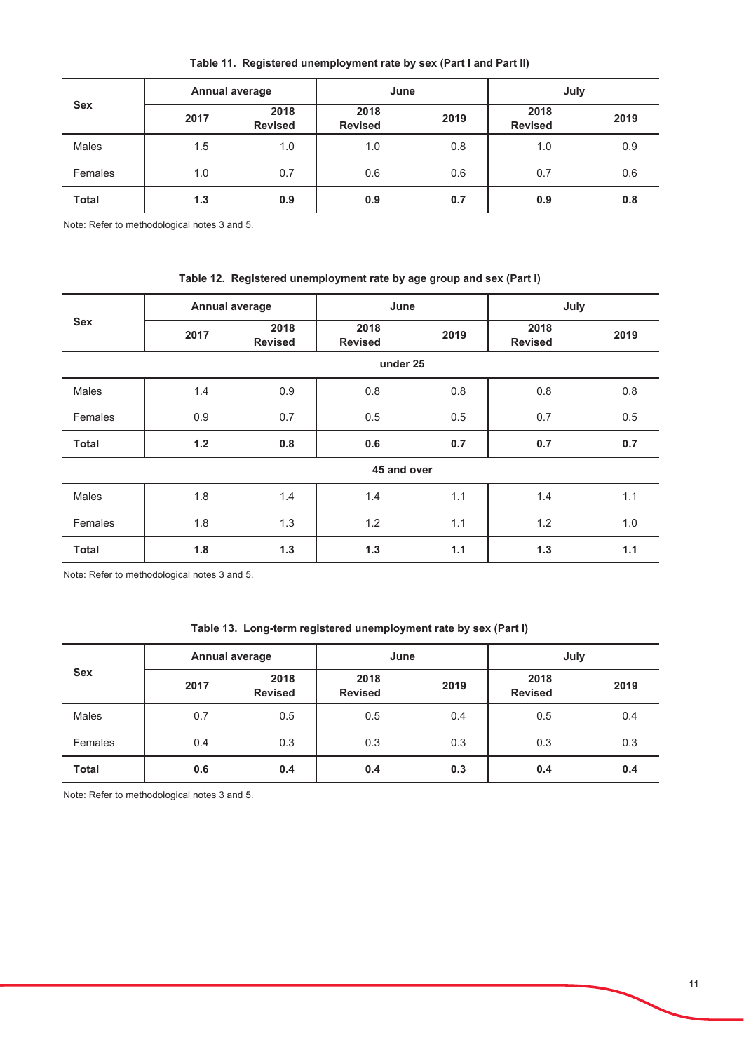| <b>Sex</b>   |      | <b>Annual average</b>  | June                   |      | July                   |      |  |  |
|--------------|------|------------------------|------------------------|------|------------------------|------|--|--|
|              | 2017 | 2018<br><b>Revised</b> | 2018<br><b>Revised</b> | 2019 | 2018<br><b>Revised</b> | 2019 |  |  |
| Males        | 1.5  | 1.0                    | 1.0                    | 0.8  | 1.0                    | 0.9  |  |  |
| Females      | 1.0  | 0.7                    | 0.6                    | 0.6  | 0.7                    | 0.6  |  |  |
| <b>Total</b> | 1.3  | 0.9                    | 0.9                    | 0.7  | 0.9                    | 0.8  |  |  |

Table 11. Registered unemployment rate by sex (Part I and Part II)

Note: Refer to methodological notes 3 and 5.

## Table 12. Registered unemployment rate by age group and sex (Part I)

| <b>Sex</b>   | Annual average |                        | June                   |      | July                   |      |  |  |
|--------------|----------------|------------------------|------------------------|------|------------------------|------|--|--|
|              | 2017           | 2018<br><b>Revised</b> | 2018<br><b>Revised</b> | 2019 | 2018<br><b>Revised</b> | 2019 |  |  |
|              |                |                        | under 25               |      |                        |      |  |  |
| Males        | 1.4            | 0.9                    | 0.8                    | 0.8  | 0.8                    | 0.8  |  |  |
| Females      | 0.9            | 0.7                    | 0.5                    | 0.5  | 0.7                    | 0.5  |  |  |
| <b>Total</b> | $1.2$          | 0.8                    | 0.6                    | 0.7  | 0.7                    | 0.7  |  |  |
|              |                |                        | 45 and over            |      |                        |      |  |  |
| Males        | 1.8            | 1.4                    | 1.4                    | 1.1  | 1.4                    | 1.1  |  |  |
| Females      | 1.8            | 1.3                    | 1.2                    | 1.1  | 1.2                    | 1.0  |  |  |
| <b>Total</b> | 1.8            | 1.3                    | 1.3                    | 1.1  | 1.3                    | 1.1  |  |  |

Note: Refer to methodological notes 3 and 5.

## Table 13. Long-term registered unemployment rate by sex (Part I)

| <b>Sex</b>   |      | Annual average         |                        | June | July                   |      |  |  |
|--------------|------|------------------------|------------------------|------|------------------------|------|--|--|
|              | 2017 | 2018<br><b>Revised</b> | 2018<br><b>Revised</b> | 2019 | 2018<br><b>Revised</b> | 2019 |  |  |
| <b>Males</b> | 0.7  | 0.5                    | 0.5                    | 0.4  | 0.5                    | 0.4  |  |  |
| Females      | 0.4  | 0.3                    | 0.3                    | 0.3  | 0.3                    | 0.3  |  |  |
| <b>Total</b> | 0.6  | 0.4                    | 0.4                    | 0.3  | 0.4                    | 0.4  |  |  |

Note: Refer to methodological notes 3 and 5.